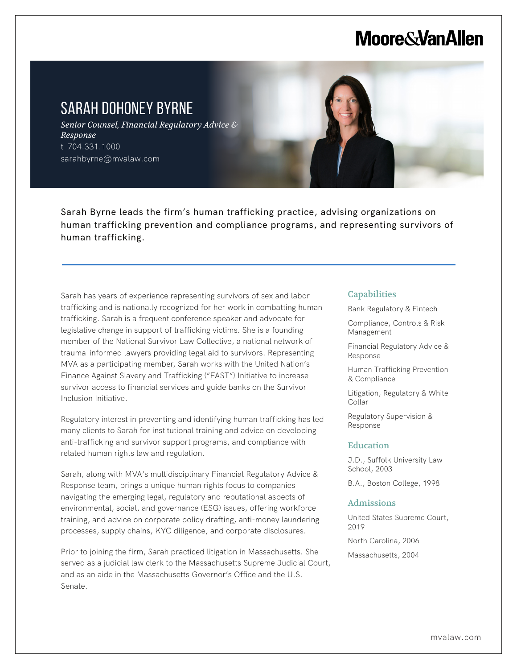# **Moore & Van Allen**

## SARAH DOHONEY BYRNE

l,

*Senior Counsel, Financial Regulatory Advice & Response* t 704.331.1000 sarahbyrne@mvalaw.com

Sarah Byrne leads the firm's human trafficking practice, advising organizations on human trafficking prevention and compliance programs, and representing survivors of human trafficking.

Sarah has years of experience representing survivors of sex and labor trafficking and is nationally recognized for her work in combatting human trafficking. Sarah is a frequent conference speaker and advocate for legislative change in support of trafficking victims. She is a founding member of the National Survivor Law Collective, a national network of trauma-informed lawyers providing legal aid to survivors. Representing MVA as a participating member, Sarah works with the United Nation's Finance Against Slavery and Trafficking ("FAST") Initiative to increase survivor access to financial services and guide banks on the Survivor Inclusion Initiative.

Regulatory interest in preventing and identifying human trafficking has led many clients to Sarah for institutional training and advice on developing anti-trafficking and survivor support programs, and compliance with related human rights law and regulation.

Sarah, along with MVA's multidisciplinary Financial Regulatory Advice & Response team, brings a unique human rights focus to companies navigating the emerging legal, regulatory and reputational aspects of environmental, social, and governance (ESG) issues, offering workforce training, and advice on corporate policy drafting, anti-money laundering processes, supply chains, KYC diligence, and corporate disclosures.

Prior to joining the firm, Sarah practiced litigation in Massachusetts. She served as a judicial law clerk to the Massachusetts Supreme Judicial Court, and as an aide in the Massachusetts Governor's Office and the U.S. Senate.

#### **Capabilities**

Bank Regulatory & Fintech

Compliance, Controls & Risk Management

Financial Regulatory Advice & Response

Human Trafficking Prevention & Compliance

Litigation, Regulatory & White Collar

Regulatory Supervision & Response

#### **Education**

J.D., Suffolk University Law School, 2003

B.A., Boston College, 1998

#### Admissions

United States Supreme Court, 2019 North Carolina, 2006

Massachusetts, 2004